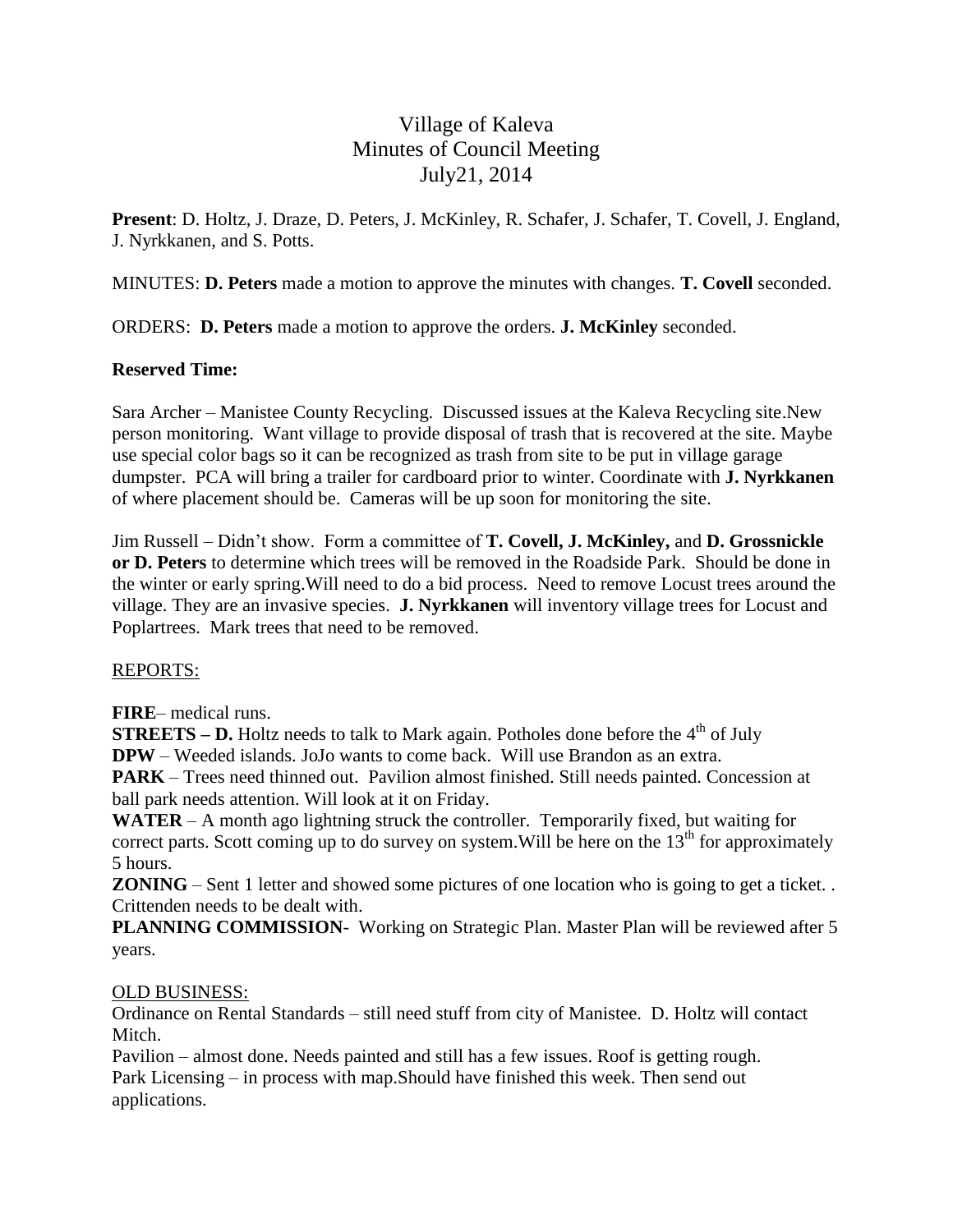# Village of Kaleva Minutes of Council Meeting July21, 2014

**Present**: D. Holtz, J. Draze, D. Peters, J. McKinley, R. Schafer, J. Schafer, T. Covell, J. England, J. Nyrkkanen, and S. Potts.

MINUTES: **D. Peters** made a motion to approve the minutes with changes. **T. Covell** seconded.

ORDERS: **D. Peters** made a motion to approve the orders. **J. McKinley** seconded.

## **Reserved Time:**

Sara Archer – Manistee County Recycling. Discussed issues at the Kaleva Recycling site.New person monitoring. Want village to provide disposal of trash that is recovered at the site. Maybe use special color bags so it can be recognized as trash from site to be put in village garage dumpster. PCA will bring a trailer for cardboard prior to winter. Coordinate with **J. Nyrkkanen** of where placement should be. Cameras will be up soon for monitoring the site.

Jim Russell – Didn't show. Form a committee of **T. Covell, J. McKinley,** and **D. Grossnickle or D. Peters** to determine which trees will be removed in the Roadside Park. Should be done in the winter or early spring.Will need to do a bid process. Need to remove Locust trees around the village. They are an invasive species. **J. Nyrkkanen** will inventory village trees for Locust and Poplartrees. Mark trees that need to be removed.

## REPORTS:

**FIRE**– medical runs.

**STREETS – D.** Holtz needs to talk to Mark again. Potholes done before the  $4<sup>th</sup>$  of July **DPW** – Weeded islands. JoJo wants to come back. Will use Brandon as an extra.

**PARK** – Trees need thinned out. Pavilion almost finished. Still needs painted. Concession at ball park needs attention. Will look at it on Friday.

WATER – A month ago lightning struck the controller. Temporarily fixed, but waiting for correct parts. Scott coming up to do survey on system. Will be here on the  $13<sup>th</sup>$  for approximately 5 hours.

**ZONING** – Sent 1 letter and showed some pictures of one location who is going to get a ticket. . Crittenden needs to be dealt with.

**PLANNING COMMISSION**- Working on Strategic Plan. Master Plan will be reviewed after 5 years.

## OLD BUSINESS:

Ordinance on Rental Standards – still need stuff from city of Manistee. D. Holtz will contact Mitch.

Pavilion – almost done. Needs painted and still has a few issues. Roof is getting rough. Park Licensing – in process with map.Should have finished this week. Then send out applications.